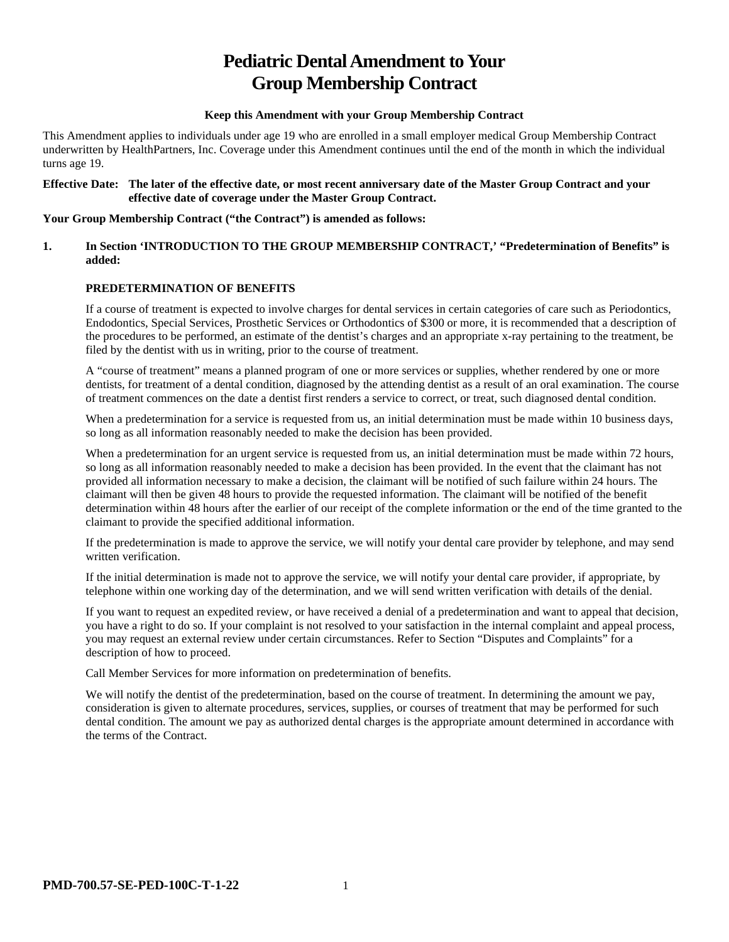# **Pediatric Dental Amendment to Your Group Membership Contract**

#### **Keep this Amendment with your Group Membership Contract**

This Amendment applies to individuals under age 19 who are enrolled in a small employer medical Group Membership Contract underwritten by HealthPartners, Inc. Coverage under this Amendment continues until the end of the month in which the individual turns age 19.

#### **Effective Date: The later of the effective date, or most recent anniversary date of the Master Group Contract and your effective date of coverage under the Master Group Contract.**

#### **Your Group Membership Contract ("the Contract") is amended as follows:**

#### **1. In Section 'INTRODUCTION TO THE GROUP MEMBERSHIP CONTRACT,' "Predetermination of Benefits" is added:**

# **PREDETERMINATION OF BENEFITS**

If a course of treatment is expected to involve charges for dental services in certain categories of care such as Periodontics, Endodontics, Special Services, Prosthetic Services or Orthodontics of \$300 or more, it is recommended that a description of the procedures to be performed, an estimate of the dentist's charges and an appropriate x-ray pertaining to the treatment, be filed by the dentist with us in writing, prior to the course of treatment.

A "course of treatment" means a planned program of one or more services or supplies, whether rendered by one or more dentists, for treatment of a dental condition, diagnosed by the attending dentist as a result of an oral examination. The course of treatment commences on the date a dentist first renders a service to correct, or treat, such diagnosed dental condition.

When a predetermination for a service is requested from us, an initial determination must be made within 10 business days, so long as all information reasonably needed to make the decision has been provided.

When a predetermination for an urgent service is requested from us, an initial determination must be made within 72 hours, so long as all information reasonably needed to make a decision has been provided. In the event that the claimant has not provided all information necessary to make a decision, the claimant will be notified of such failure within 24 hours. The claimant will then be given 48 hours to provide the requested information. The claimant will be notified of the benefit determination within 48 hours after the earlier of our receipt of the complete information or the end of the time granted to the claimant to provide the specified additional information.

If the predetermination is made to approve the service, we will notify your dental care provider by telephone, and may send written verification.

If the initial determination is made not to approve the service, we will notify your dental care provider, if appropriate, by telephone within one working day of the determination, and we will send written verification with details of the denial.

If you want to request an expedited review, or have received a denial of a predetermination and want to appeal that decision, you have a right to do so. If your complaint is not resolved to your satisfaction in the internal complaint and appeal process, you may request an external review under certain circumstances. Refer to Section "Disputes and Complaints" for a description of how to proceed.

Call Member Services for more information on predetermination of benefits.

We will notify the dentist of the predetermination, based on the course of treatment. In determining the amount we pay, consideration is given to alternate procedures, services, supplies, or courses of treatment that may be performed for such dental condition. The amount we pay as authorized dental charges is the appropriate amount determined in accordance with the terms of the Contract.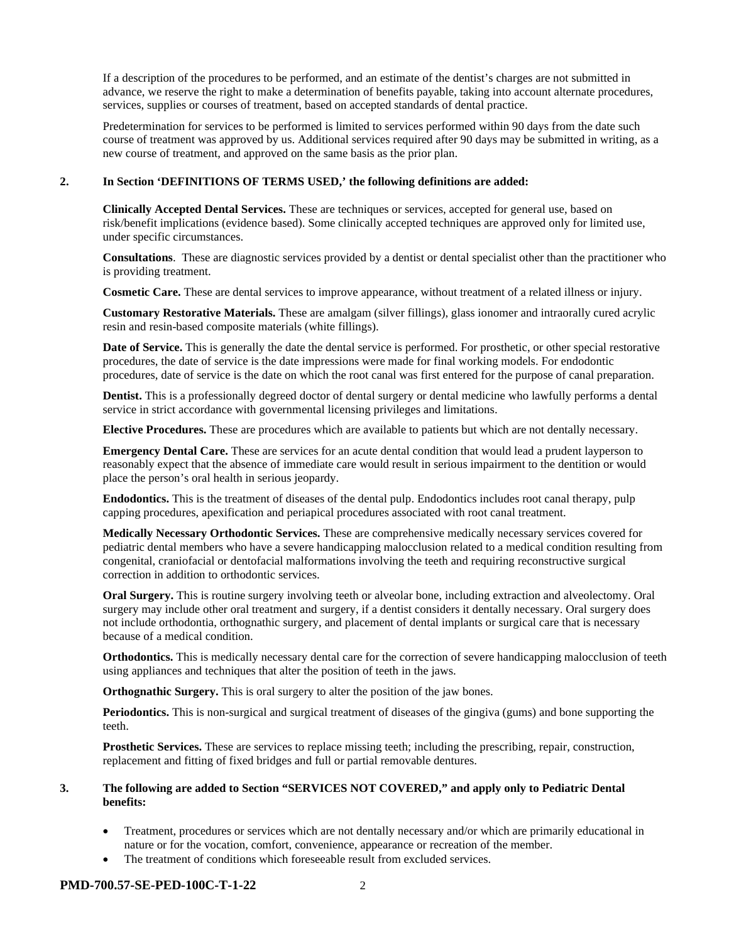If a description of the procedures to be performed, and an estimate of the dentist's charges are not submitted in advance, we reserve the right to make a determination of benefits payable, taking into account alternate procedures, services, supplies or courses of treatment, based on accepted standards of dental practice.

Predetermination for services to be performed is limited to services performed within 90 days from the date such course of treatment was approved by us. Additional services required after 90 days may be submitted in writing, as a new course of treatment, and approved on the same basis as the prior plan.

#### **2. In Section 'DEFINITIONS OF TERMS USED,' the following definitions are added:**

**Clinically Accepted Dental Services.** These are techniques or services, accepted for general use, based on risk/benefit implications (evidence based). Some clinically accepted techniques are approved only for limited use, under specific circumstances.

**Consultations**. These are diagnostic services provided by a dentist or dental specialist other than the practitioner who is providing treatment.

**Cosmetic Care.** These are dental services to improve appearance, without treatment of a related illness or injury.

**Customary Restorative Materials.** These are amalgam (silver fillings), glass ionomer and intraorally cured acrylic resin and resin-based composite materials (white fillings).

**Date of Service.** This is generally the date the dental service is performed. For prosthetic, or other special restorative procedures, the date of service is the date impressions were made for final working models. For endodontic procedures, date of service is the date on which the root canal was first entered for the purpose of canal preparation.

**Dentist.** This is a professionally degreed doctor of dental surgery or dental medicine who lawfully performs a dental service in strict accordance with governmental licensing privileges and limitations.

**Elective Procedures.** These are procedures which are available to patients but which are not dentally necessary.

**Emergency Dental Care.** These are services for an acute dental condition that would lead a prudent layperson to reasonably expect that the absence of immediate care would result in serious impairment to the dentition or would place the person's oral health in serious jeopardy.

**Endodontics.** This is the treatment of diseases of the dental pulp. Endodontics includes root canal therapy, pulp capping procedures, apexification and periapical procedures associated with root canal treatment.

**Medically Necessary Orthodontic Services.** These are comprehensive medically necessary services covered for pediatric dental members who have a severe handicapping malocclusion related to a medical condition resulting from congenital, craniofacial or dentofacial malformations involving the teeth and requiring reconstructive surgical correction in addition to orthodontic services.

**Oral Surgery.** This is routine surgery involving teeth or alveolar bone, including extraction and alveolectomy. Oral surgery may include other oral treatment and surgery, if a dentist considers it dentally necessary. Oral surgery does not include orthodontia, orthognathic surgery, and placement of dental implants or surgical care that is necessary because of a medical condition.

**Orthodontics.** This is medically necessary dental care for the correction of severe handicapping malocclusion of teeth using appliances and techniques that alter the position of teeth in the jaws.

**Orthognathic Surgery.** This is oral surgery to alter the position of the jaw bones.

**Periodontics.** This is non-surgical and surgical treatment of diseases of the gingiva (gums) and bone supporting the teeth.

**Prosthetic Services.** These are services to replace missing teeth; including the prescribing, repair, construction, replacement and fitting of fixed bridges and full or partial removable dentures.

#### **3. The following are added to Section "SERVICES NOT COVERED," and apply only to Pediatric Dental benefits:**

- Treatment, procedures or services which are not dentally necessary and/or which are primarily educational in nature or for the vocation, comfort, convenience, appearance or recreation of the member.
- The treatment of conditions which foreseeable result from excluded services.

#### **PMD-700.57-SE-PED-100C-T-1-22** 2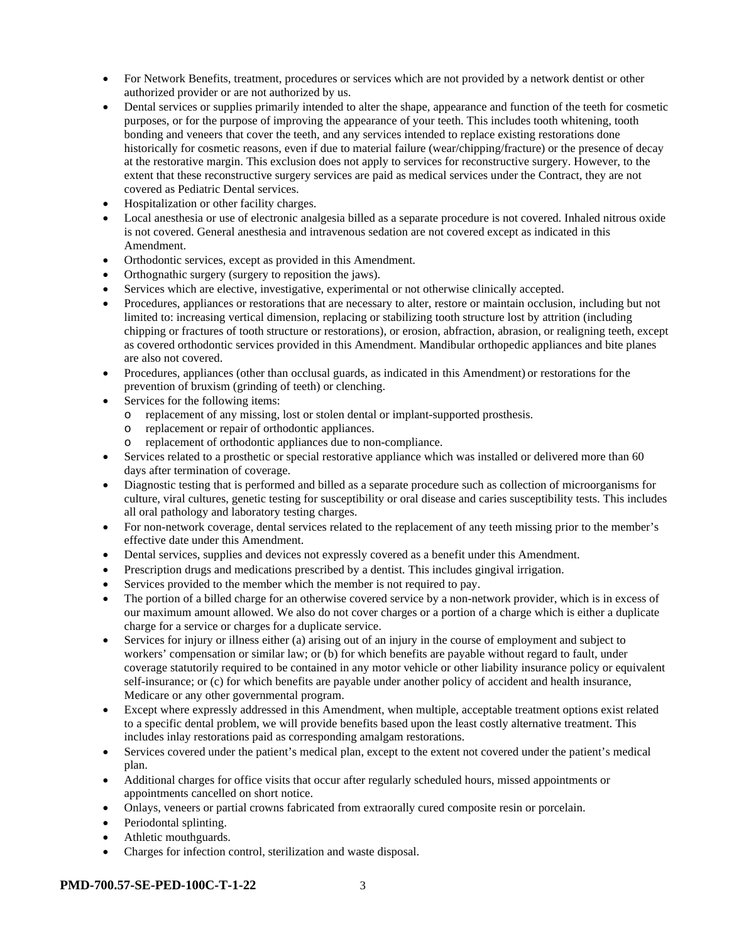- For Network Benefits, treatment, procedures or services which are not provided by a network dentist or other authorized provider or are not authorized by us.
- Dental services or supplies primarily intended to alter the shape, appearance and function of the teeth for cosmetic purposes, or for the purpose of improving the appearance of your teeth. This includes tooth whitening, tooth bonding and veneers that cover the teeth, and any services intended to replace existing restorations done historically for cosmetic reasons, even if due to material failure (wear/chipping/fracture) or the presence of decay at the restorative margin. This exclusion does not apply to services for reconstructive surgery. However, to the extent that these reconstructive surgery services are paid as medical services under the Contract, they are not covered as Pediatric Dental services.
- Hospitalization or other facility charges.
- Local anesthesia or use of electronic analgesia billed as a separate procedure is not covered. Inhaled nitrous oxide is not covered. General anesthesia and intravenous sedation are not covered except as indicated in this Amendment.
- Orthodontic services, except as provided in this Amendment.
- Orthognathic surgery (surgery to reposition the jaws).
- Services which are elective, investigative, experimental or not otherwise clinically accepted.
- Procedures, appliances or restorations that are necessary to alter, restore or maintain occlusion, including but not limited to: increasing vertical dimension, replacing or stabilizing tooth structure lost by attrition (including chipping or fractures of tooth structure or restorations), or erosion, abfraction, abrasion, or realigning teeth, except as covered orthodontic services provided in this Amendment. Mandibular orthopedic appliances and bite planes are also not covered.
- Procedures, appliances (other than occlusal guards, as indicated in this Amendment) or restorations for the prevention of bruxism (grinding of teeth) or clenching.
- Services for the following items:
	- o replacement of any missing, lost or stolen dental or implant-supported prosthesis.
	- o replacement or repair of orthodontic appliances.
	- o replacement of orthodontic appliances due to non-compliance.
- Services related to a prosthetic or special restorative appliance which was installed or delivered more than 60 days after termination of coverage.
- Diagnostic testing that is performed and billed as a separate procedure such as collection of microorganisms for culture, viral cultures, genetic testing for susceptibility or oral disease and caries susceptibility tests. This includes all oral pathology and laboratory testing charges.
- For non-network coverage, dental services related to the replacement of any teeth missing prior to the member's effective date under this Amendment.
- Dental services, supplies and devices not expressly covered as a benefit under this Amendment.
- Prescription drugs and medications prescribed by a dentist. This includes gingival irrigation.
- Services provided to the member which the member is not required to pay.
- The portion of a billed charge for an otherwise covered service by a non-network provider, which is in excess of our maximum amount allowed. We also do not cover charges or a portion of a charge which is either a duplicate charge for a service or charges for a duplicate service.
- Services for injury or illness either (a) arising out of an injury in the course of employment and subject to workers' compensation or similar law; or (b) for which benefits are payable without regard to fault, under coverage statutorily required to be contained in any motor vehicle or other liability insurance policy or equivalent self-insurance; or (c) for which benefits are payable under another policy of accident and health insurance, Medicare or any other governmental program.
- Except where expressly addressed in this Amendment, when multiple, acceptable treatment options exist related to a specific dental problem, we will provide benefits based upon the least costly alternative treatment. This includes inlay restorations paid as corresponding amalgam restorations.
- Services covered under the patient's medical plan, except to the extent not covered under the patient's medical plan.
- Additional charges for office visits that occur after regularly scheduled hours, missed appointments or appointments cancelled on short notice.
- Onlays, veneers or partial crowns fabricated from extraorally cured composite resin or porcelain.
- Periodontal splinting.
- Athletic mouthguards.
- Charges for infection control, sterilization and waste disposal.

#### **PMD-700.57-SE-PED-100C-T-1-22** 3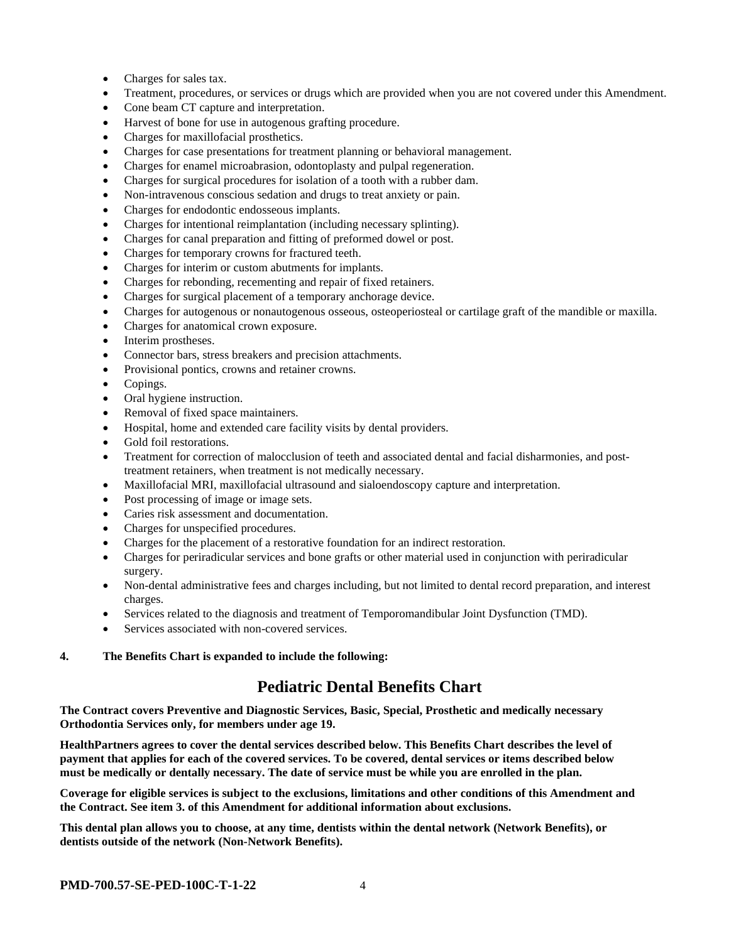- Charges for sales tax.
- Treatment, procedures, or services or drugs which are provided when you are not covered under this Amendment.
- Cone beam CT capture and interpretation.
- Harvest of bone for use in autogenous grafting procedure.
- Charges for maxillofacial prosthetics.
- Charges for case presentations for treatment planning or behavioral management.
- Charges for enamel microabrasion, odontoplasty and pulpal regeneration.
- Charges for surgical procedures for isolation of a tooth with a rubber dam.
- Non-intravenous conscious sedation and drugs to treat anxiety or pain.
- Charges for endodontic endosseous implants.
- Charges for intentional reimplantation (including necessary splinting).
- Charges for canal preparation and fitting of preformed dowel or post.
- Charges for temporary crowns for fractured teeth.
- Charges for interim or custom abutments for implants.
- Charges for rebonding, recementing and repair of fixed retainers.
- Charges for surgical placement of a temporary anchorage device.
- Charges for autogenous or nonautogenous osseous, osteoperiosteal or cartilage graft of the mandible or maxilla.
- Charges for anatomical crown exposure.
- Interim prostheses.
- Connector bars, stress breakers and precision attachments.
- Provisional pontics, crowns and retainer crowns.
- Copings.
- Oral hygiene instruction.
- Removal of fixed space maintainers.
- Hospital, home and extended care facility visits by dental providers.
- Gold foil restorations.
- Treatment for correction of malocclusion of teeth and associated dental and facial disharmonies, and posttreatment retainers, when treatment is not medically necessary.
- Maxillofacial MRI, maxillofacial ultrasound and sialoendoscopy capture and interpretation.
- Post processing of image or image sets.
- Caries risk assessment and documentation.
- Charges for unspecified procedures.
- Charges for the placement of a restorative foundation for an indirect restoration.
- Charges for periradicular services and bone grafts or other material used in conjunction with periradicular surgery.
- Non-dental administrative fees and charges including, but not limited to dental record preparation, and interest charges.
- Services related to the diagnosis and treatment of Temporomandibular Joint Dysfunction (TMD).
- Services associated with non-covered services.

#### **4. The Benefits Chart is expanded to include the following:**

# **Pediatric Dental Benefits Chart**

**The Contract covers Preventive and Diagnostic Services, Basic, Special, Prosthetic and medically necessary Orthodontia Services only, for members under age 19.**

**HealthPartners agrees to cover the dental services described below. This Benefits Chart describes the level of payment that applies for each of the covered services. To be covered, dental services or items described below must be medically or dentally necessary. The date of service must be while you are enrolled in the plan.**

**Coverage for eligible services is subject to the exclusions, limitations and other conditions of this Amendment and the Contract. See item 3. of this Amendment for additional information about exclusions.**

**This dental plan allows you to choose, at any time, dentists within the dental network (Network Benefits), or dentists outside of the network (Non-Network Benefits).**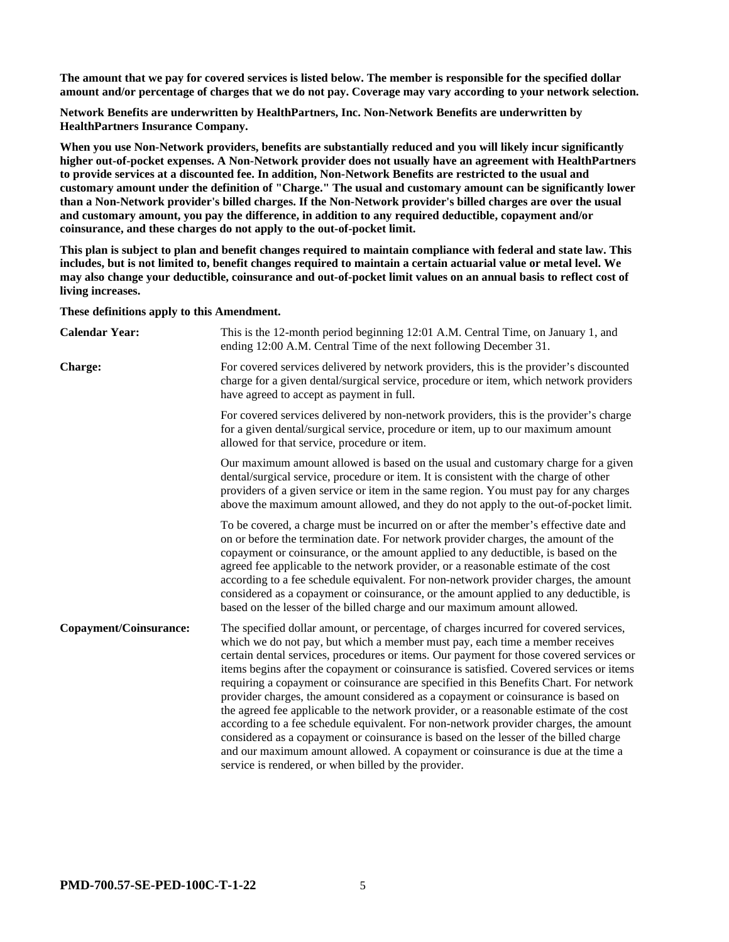**The amount that we pay for covered services is listed below. The member is responsible for the specified dollar amount and/or percentage of charges that we do not pay. Coverage may vary according to your network selection.**

**Network Benefits are underwritten by HealthPartners, Inc. Non-Network Benefits are underwritten by HealthPartners Insurance Company.**

**When you use Non-Network providers, benefits are substantially reduced and you will likely incur significantly higher out-of-pocket expenses. A Non-Network provider does not usually have an agreement with HealthPartners to provide services at a discounted fee. In addition, Non-Network Benefits are restricted to the usual and customary amount under the definition of "Charge." The usual and customary amount can be significantly lower than a Non-Network provider's billed charges. If the Non-Network provider's billed charges are over the usual and customary amount, you pay the difference, in addition to any required deductible, copayment and/or coinsurance, and these charges do not apply to the out-of-pocket limit.**

**This plan is subject to plan and benefit changes required to maintain compliance with federal and state law. This includes, but is not limited to, benefit changes required to maintain a certain actuarial value or metal level. We may also change your deductible, coinsurance and out-of-pocket limit values on an annual basis to reflect cost of living increases.**

**These definitions apply to this Amendment.**

| <b>Calendar Year:</b>  | This is the 12-month period beginning 12:01 A.M. Central Time, on January 1, and<br>ending 12:00 A.M. Central Time of the next following December 31.                                                                                                                                                                                                                                                                                                                                                                                                                                                                                                                                                                                                                                                                                                                                                                                                             |
|------------------------|-------------------------------------------------------------------------------------------------------------------------------------------------------------------------------------------------------------------------------------------------------------------------------------------------------------------------------------------------------------------------------------------------------------------------------------------------------------------------------------------------------------------------------------------------------------------------------------------------------------------------------------------------------------------------------------------------------------------------------------------------------------------------------------------------------------------------------------------------------------------------------------------------------------------------------------------------------------------|
| <b>Charge:</b>         | For covered services delivered by network providers, this is the provider's discounted<br>charge for a given dental/surgical service, procedure or item, which network providers<br>have agreed to accept as payment in full.                                                                                                                                                                                                                                                                                                                                                                                                                                                                                                                                                                                                                                                                                                                                     |
|                        | For covered services delivered by non-network providers, this is the provider's charge<br>for a given dental/surgical service, procedure or item, up to our maximum amount<br>allowed for that service, procedure or item.                                                                                                                                                                                                                                                                                                                                                                                                                                                                                                                                                                                                                                                                                                                                        |
|                        | Our maximum amount allowed is based on the usual and customary charge for a given<br>dental/surgical service, procedure or item. It is consistent with the charge of other<br>providers of a given service or item in the same region. You must pay for any charges<br>above the maximum amount allowed, and they do not apply to the out-of-pocket limit.                                                                                                                                                                                                                                                                                                                                                                                                                                                                                                                                                                                                        |
|                        | To be covered, a charge must be incurred on or after the member's effective date and<br>on or before the termination date. For network provider charges, the amount of the<br>copayment or coinsurance, or the amount applied to any deductible, is based on the<br>agreed fee applicable to the network provider, or a reasonable estimate of the cost<br>according to a fee schedule equivalent. For non-network provider charges, the amount<br>considered as a copayment or coinsurance, or the amount applied to any deductible, is<br>based on the lesser of the billed charge and our maximum amount allowed.                                                                                                                                                                                                                                                                                                                                              |
| Copayment/Coinsurance: | The specified dollar amount, or percentage, of charges incurred for covered services,<br>which we do not pay, but which a member must pay, each time a member receives<br>certain dental services, procedures or items. Our payment for those covered services or<br>items begins after the copayment or coinsurance is satisfied. Covered services or items<br>requiring a copayment or coinsurance are specified in this Benefits Chart. For network<br>provider charges, the amount considered as a copayment or coinsurance is based on<br>the agreed fee applicable to the network provider, or a reasonable estimate of the cost<br>according to a fee schedule equivalent. For non-network provider charges, the amount<br>considered as a copayment or coinsurance is based on the lesser of the billed charge<br>and our maximum amount allowed. A copayment or coinsurance is due at the time a<br>service is rendered, or when billed by the provider. |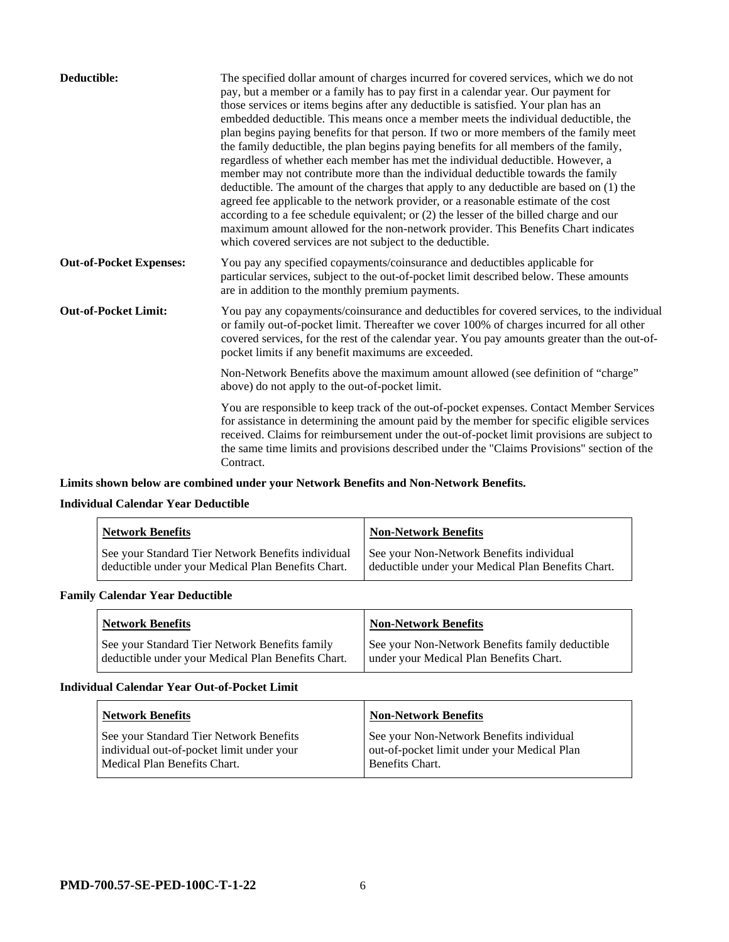| Deductible:                    | The specified dollar amount of charges incurred for covered services, which we do not<br>pay, but a member or a family has to pay first in a calendar year. Our payment for<br>those services or items begins after any deductible is satisfied. Your plan has an<br>embedded deductible. This means once a member meets the individual deductible, the<br>plan begins paying benefits for that person. If two or more members of the family meet<br>the family deductible, the plan begins paying benefits for all members of the family,<br>regardless of whether each member has met the individual deductible. However, a<br>member may not contribute more than the individual deductible towards the family<br>deductible. The amount of the charges that apply to any deductible are based on (1) the<br>agreed fee applicable to the network provider, or a reasonable estimate of the cost<br>according to a fee schedule equivalent; or (2) the lesser of the billed charge and our<br>maximum amount allowed for the non-network provider. This Benefits Chart indicates<br>which covered services are not subject to the deductible. |
|--------------------------------|--------------------------------------------------------------------------------------------------------------------------------------------------------------------------------------------------------------------------------------------------------------------------------------------------------------------------------------------------------------------------------------------------------------------------------------------------------------------------------------------------------------------------------------------------------------------------------------------------------------------------------------------------------------------------------------------------------------------------------------------------------------------------------------------------------------------------------------------------------------------------------------------------------------------------------------------------------------------------------------------------------------------------------------------------------------------------------------------------------------------------------------------------|
| <b>Out-of-Pocket Expenses:</b> | You pay any specified copayments/coinsurance and deductibles applicable for<br>particular services, subject to the out-of-pocket limit described below. These amounts<br>are in addition to the monthly premium payments.                                                                                                                                                                                                                                                                                                                                                                                                                                                                                                                                                                                                                                                                                                                                                                                                                                                                                                                        |
| <b>Out-of-Pocket Limit:</b>    | You pay any copayments/coinsurance and deductibles for covered services, to the individual<br>or family out-of-pocket limit. Thereafter we cover 100% of charges incurred for all other<br>covered services, for the rest of the calendar year. You pay amounts greater than the out-of-<br>pocket limits if any benefit maximums are exceeded.                                                                                                                                                                                                                                                                                                                                                                                                                                                                                                                                                                                                                                                                                                                                                                                                  |
|                                | Non-Network Benefits above the maximum amount allowed (see definition of "charge"<br>above) do not apply to the out-of-pocket limit.                                                                                                                                                                                                                                                                                                                                                                                                                                                                                                                                                                                                                                                                                                                                                                                                                                                                                                                                                                                                             |
|                                | You are responsible to keep track of the out-of-pocket expenses. Contact Member Services<br>for assistance in determining the amount paid by the member for specific eligible services<br>received. Claims for reimbursement under the out-of-pocket limit provisions are subject to<br>the same time limits and provisions described under the "Claims Provisions" section of the<br>Contract.                                                                                                                                                                                                                                                                                                                                                                                                                                                                                                                                                                                                                                                                                                                                                  |

# **Limits shown below are combined under your Network Benefits and Non-Network Benefits.**

# **Individual Calendar Year Deductible**

| <b>Network Benefits</b>                            | <b>Non-Network Benefits</b>                        |
|----------------------------------------------------|----------------------------------------------------|
| See your Standard Tier Network Benefits individual | See your Non-Network Benefits individual           |
| deductible under your Medical Plan Benefits Chart. | deductible under your Medical Plan Benefits Chart. |

# **Family Calendar Year Deductible**

| <b>Network Benefits</b>                            | <b>Non-Network Benefits</b>                     |
|----------------------------------------------------|-------------------------------------------------|
| See your Standard Tier Network Benefits family     | See your Non-Network Benefits family deductible |
| deductible under your Medical Plan Benefits Chart. | under your Medical Plan Benefits Chart.         |

# **Individual Calendar Year Out-of-Pocket Limit**

| <b>Network Benefits</b>                                                                                              | <b>Non-Network Benefits</b>                                                                                |
|----------------------------------------------------------------------------------------------------------------------|------------------------------------------------------------------------------------------------------------|
| See your Standard Tier Network Benefits<br>individual out-of-pocket limit under your<br>Medical Plan Benefits Chart. | See your Non-Network Benefits individual<br>out-of-pocket limit under your Medical Plan<br>Benefits Chart. |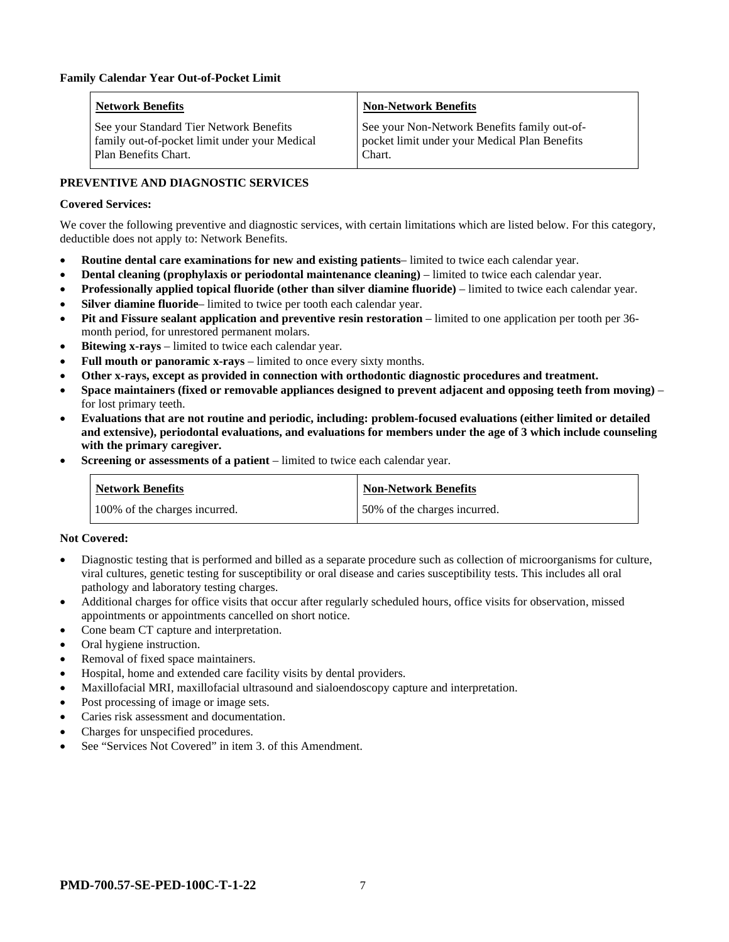| <b>Network Benefits</b>                                                                                          | <b>Non-Network Benefits</b>                                                                             |
|------------------------------------------------------------------------------------------------------------------|---------------------------------------------------------------------------------------------------------|
| See your Standard Tier Network Benefits<br>family out-of-pocket limit under your Medical<br>Plan Benefits Chart. | See your Non-Network Benefits family out-of-<br>pocket limit under your Medical Plan Benefits<br>Chart. |

# **PREVENTIVE AND DIAGNOSTIC SERVICES**

### **Covered Services:**

We cover the following preventive and diagnostic services, with certain limitations which are listed below. For this category, deductible does not apply to: Network Benefits.

- **Routine dental care examinations for new and existing patients** limited to twice each calendar year.
- **Dental cleaning (prophylaxis or periodontal maintenance cleaning)** limited to twice each calendar year.
- **Professionally applied topical fluoride (other than silver diamine fluoride)** limited to twice each calendar year.
- **Silver diamine fluoride** limited to twice per tooth each calendar year.
- **Pit and Fissure sealant application and preventive resin restoration** limited to one application per tooth per 36 month period, for unrestored permanent molars.
- **Bitewing x-rays** limited to twice each calendar year.
- **Full mouth or panoramic x-rays** limited to once every sixty months.
- **Other x-rays, except as provided in connection with orthodontic diagnostic procedures and treatment.**
- **Space maintainers (fixed or removable appliances designed to prevent adjacent and opposing teeth from moving)** for lost primary teeth.
- **Evaluations that are not routine and periodic, including: problem-focused evaluations (either limited or detailed and extensive), periodontal evaluations, and evaluations for members under the age of 3 which include counseling with the primary caregiver.**
- **Screening or assessments of a patient** limited to twice each calendar year.

| Network Benefits              | <b>Non-Network Benefits</b>  |
|-------------------------------|------------------------------|
| 100% of the charges incurred. | 50% of the charges incurred. |

#### **Not Covered:**

- Diagnostic testing that is performed and billed as a separate procedure such as collection of microorganisms for culture, viral cultures, genetic testing for susceptibility or oral disease and caries susceptibility tests. This includes all oral pathology and laboratory testing charges.
- Additional charges for office visits that occur after regularly scheduled hours, office visits for observation, missed appointments or appointments cancelled on short notice.
- Cone beam CT capture and interpretation.
- Oral hygiene instruction.
- Removal of fixed space maintainers.
- Hospital, home and extended care facility visits by dental providers.
- Maxillofacial MRI, maxillofacial ultrasound and sialoendoscopy capture and interpretation.
- Post processing of image or image sets.
- Caries risk assessment and documentation.
- Charges for unspecified procedures.
- See "Services Not Covered" in item 3. of this Amendment.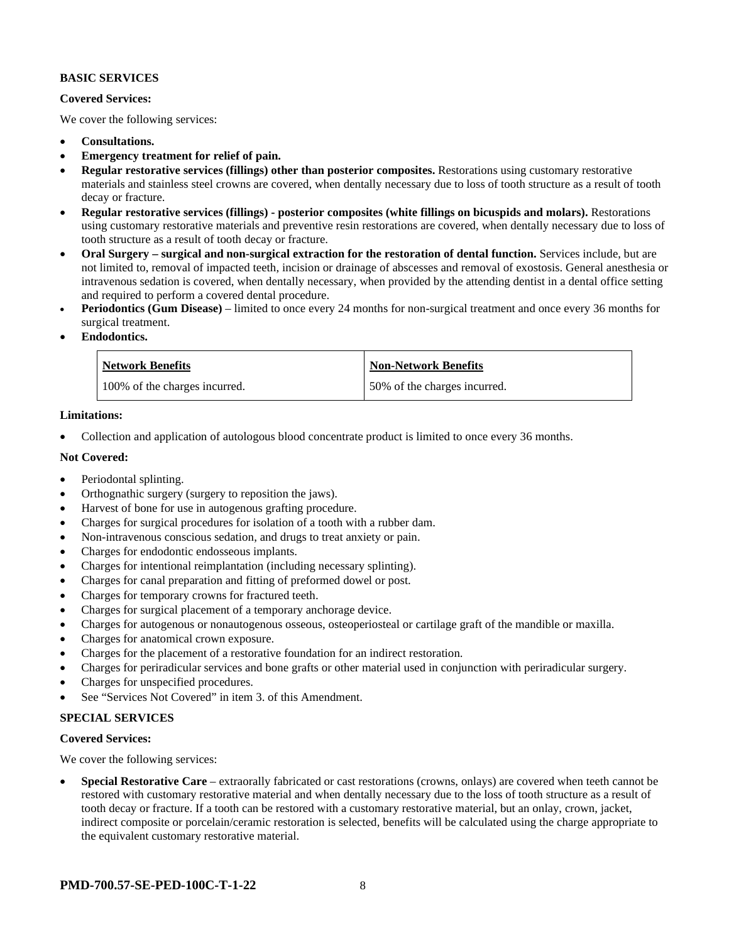### **BASIC SERVICES**

#### **Covered Services:**

We cover the following services:

- **Consultations.**
- **Emergency treatment for relief of pain.**
- **Regular restorative services (fillings) other than posterior composites.** Restorations using customary restorative materials and stainless steel crowns are covered, when dentally necessary due to loss of tooth structure as a result of tooth decay or fracture.
- **Regular restorative services (fillings) - posterior composites (white fillings on bicuspids and molars).** Restorations using customary restorative materials and preventive resin restorations are covered, when dentally necessary due to loss of tooth structure as a result of tooth decay or fracture.
- **Oral Surgery – surgical and non-surgical extraction for the restoration of dental function.** Services include, but are not limited to, removal of impacted teeth, incision or drainage of abscesses and removal of exostosis. General anesthesia or intravenous sedation is covered, when dentally necessary, when provided by the attending dentist in a dental office setting and required to perform a covered dental procedure.
- **Periodontics (Gum Disease)** limited to once every 24 months for non-surgical treatment and once every 36 months for surgical treatment.
- **Endodontics.**

| <b>Network Benefits</b>       | <b>Non-Network Benefits</b>  |
|-------------------------------|------------------------------|
| 100% of the charges incurred. | 50% of the charges incurred. |

#### **Limitations:**

• Collection and application of autologous blood concentrate product is limited to once every 36 months.

#### **Not Covered:**

- Periodontal splinting.
- Orthognathic surgery (surgery to reposition the jaws).
- Harvest of bone for use in autogenous grafting procedure.
- Charges for surgical procedures for isolation of a tooth with a rubber dam.
- Non-intravenous conscious sedation, and drugs to treat anxiety or pain.
- Charges for endodontic endosseous implants.
- Charges for intentional reimplantation (including necessary splinting).
- Charges for canal preparation and fitting of preformed dowel or post.
- Charges for temporary crowns for fractured teeth.
- Charges for surgical placement of a temporary anchorage device.
- Charges for autogenous or nonautogenous osseous, osteoperiosteal or cartilage graft of the mandible or maxilla.
- Charges for anatomical crown exposure.
- Charges for the placement of a restorative foundation for an indirect restoration.
- Charges for periradicular services and bone grafts or other material used in conjunction with periradicular surgery.
- Charges for unspecified procedures.
- See "Services Not Covered" in item 3. of this Amendment.

#### **SPECIAL SERVICES**

#### **Covered Services:**

We cover the following services:

• **Special Restorative Care** – extraorally fabricated or cast restorations (crowns, onlays) are covered when teeth cannot be restored with customary restorative material and when dentally necessary due to the loss of tooth structure as a result of tooth decay or fracture. If a tooth can be restored with a customary restorative material, but an onlay, crown, jacket, indirect composite or porcelain/ceramic restoration is selected, benefits will be calculated using the charge appropriate to the equivalent customary restorative material.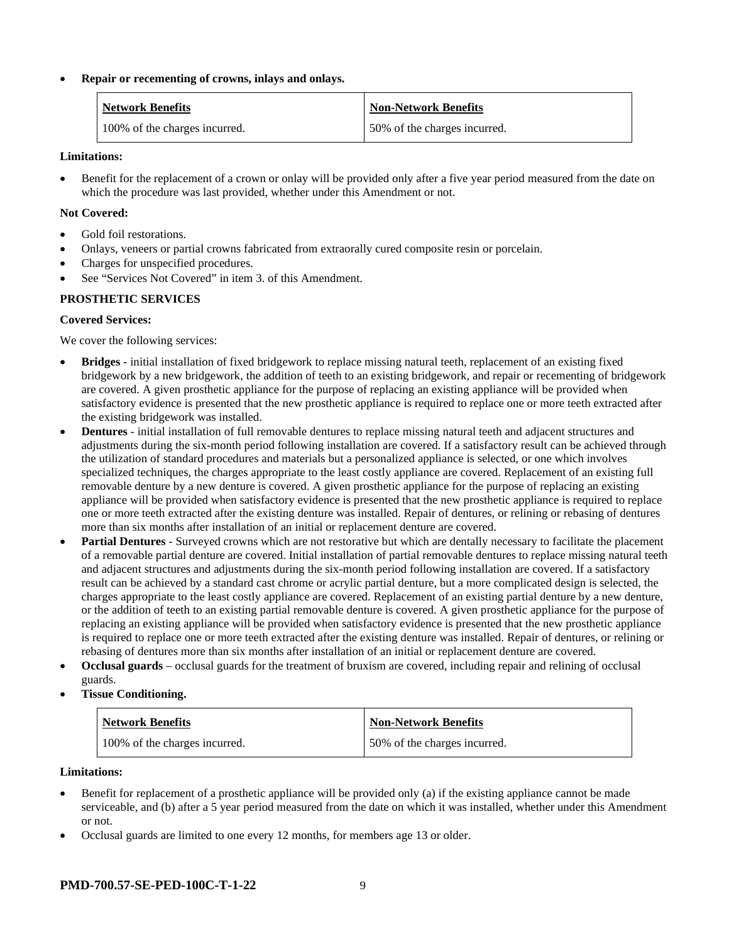### • **Repair or recementing of crowns, inlays and onlays.**

| <b>Network Benefits</b>       | <b>Non-Network Benefits</b>  |
|-------------------------------|------------------------------|
| 100% of the charges incurred. | 50% of the charges incurred. |

#### **Limitations:**

• Benefit for the replacement of a crown or onlay will be provided only after a five year period measured from the date on which the procedure was last provided, whether under this Amendment or not.

### **Not Covered:**

- Gold foil restorations.
- Onlays, veneers or partial crowns fabricated from extraorally cured composite resin or porcelain.
- Charges for unspecified procedures.
- See "Services Not Covered" in item 3. of this Amendment.

# **PROSTHETIC SERVICES**

# **Covered Services:**

We cover the following services:

- **Bridges** initial installation of fixed bridgework to replace missing natural teeth, replacement of an existing fixed bridgework by a new bridgework, the addition of teeth to an existing bridgework, and repair or recementing of bridgework are covered. A given prosthetic appliance for the purpose of replacing an existing appliance will be provided when satisfactory evidence is presented that the new prosthetic appliance is required to replace one or more teeth extracted after the existing bridgework was installed.
- **Dentures** initial installation of full removable dentures to replace missing natural teeth and adjacent structures and adjustments during the six-month period following installation are covered. If a satisfactory result can be achieved through the utilization of standard procedures and materials but a personalized appliance is selected, or one which involves specialized techniques, the charges appropriate to the least costly appliance are covered. Replacement of an existing full removable denture by a new denture is covered. A given prosthetic appliance for the purpose of replacing an existing appliance will be provided when satisfactory evidence is presented that the new prosthetic appliance is required to replace one or more teeth extracted after the existing denture was installed. Repair of dentures, or relining or rebasing of dentures more than six months after installation of an initial or replacement denture are covered.
- **Partial Dentures** Surveyed crowns which are not restorative but which are dentally necessary to facilitate the placement of a removable partial denture are covered. Initial installation of partial removable dentures to replace missing natural teeth and adjacent structures and adjustments during the six-month period following installation are covered. If a satisfactory result can be achieved by a standard cast chrome or acrylic partial denture, but a more complicated design is selected, the charges appropriate to the least costly appliance are covered. Replacement of an existing partial denture by a new denture, or the addition of teeth to an existing partial removable denture is covered. A given prosthetic appliance for the purpose of replacing an existing appliance will be provided when satisfactory evidence is presented that the new prosthetic appliance is required to replace one or more teeth extracted after the existing denture was installed. Repair of dentures, or relining or rebasing of dentures more than six months after installation of an initial or replacement denture are covered.
- **Occlusal guards** occlusal guards for the treatment of bruxism are covered, including repair and relining of occlusal guards.
- **Tissue Conditioning.**

| <b>Network Benefits</b>       | <b>Non-Network Benefits</b>  |
|-------------------------------|------------------------------|
| 100% of the charges incurred. | 50% of the charges incurred. |

#### **Limitations:**

- Benefit for replacement of a prosthetic appliance will be provided only (a) if the existing appliance cannot be made serviceable, and (b) after a 5 year period measured from the date on which it was installed, whether under this Amendment or not.
- Occlusal guards are limited to one every 12 months, for members age 13 or older.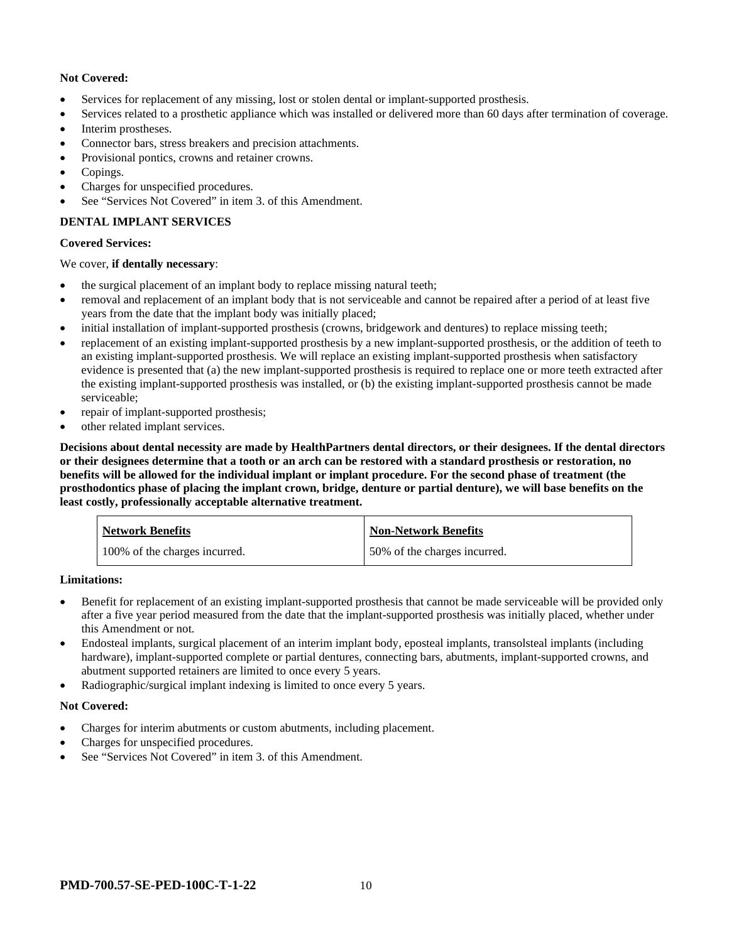# **Not Covered:**

- Services for replacement of any missing, lost or stolen dental or implant-supported prosthesis.
- Services related to a prosthetic appliance which was installed or delivered more than 60 days after termination of coverage.
- Interim prostheses.
- Connector bars, stress breakers and precision attachments.
- Provisional pontics, crowns and retainer crowns.
- Copings.
- Charges for unspecified procedures.
- See "Services Not Covered" in item 3. of this Amendment.

# **DENTAL IMPLANT SERVICES**

#### **Covered Services:**

#### We cover, **if dentally necessary**:

- the surgical placement of an implant body to replace missing natural teeth;
- removal and replacement of an implant body that is not serviceable and cannot be repaired after a period of at least five years from the date that the implant body was initially placed;
- initial installation of implant-supported prosthesis (crowns, bridgework and dentures) to replace missing teeth;
- replacement of an existing implant-supported prosthesis by a new implant-supported prosthesis, or the addition of teeth to an existing implant-supported prosthesis. We will replace an existing implant-supported prosthesis when satisfactory evidence is presented that (a) the new implant-supported prosthesis is required to replace one or more teeth extracted after the existing implant-supported prosthesis was installed, or (b) the existing implant-supported prosthesis cannot be made serviceable;
- repair of implant-supported prosthesis;
- other related implant services.

**Decisions about dental necessity are made by HealthPartners dental directors, or their designees. If the dental directors or their designees determine that a tooth or an arch can be restored with a standard prosthesis or restoration, no benefits will be allowed for the individual implant or implant procedure. For the second phase of treatment (the prosthodontics phase of placing the implant crown, bridge, denture or partial denture), we will base benefits on the least costly, professionally acceptable alternative treatment.**

| <b>Network Benefits</b>       | <b>Non-Network Benefits</b>  |
|-------------------------------|------------------------------|
| 100% of the charges incurred. | 50% of the charges incurred. |

#### **Limitations:**

- Benefit for replacement of an existing implant-supported prosthesis that cannot be made serviceable will be provided only after a five year period measured from the date that the implant-supported prosthesis was initially placed, whether under this Amendment or not.
- Endosteal implants, surgical placement of an interim implant body, eposteal implants, transolsteal implants (including hardware), implant-supported complete or partial dentures, connecting bars, abutments, implant-supported crowns, and abutment supported retainers are limited to once every 5 years.
- Radiographic/surgical implant indexing is limited to once every 5 years.

#### **Not Covered:**

- Charges for interim abutments or custom abutments, including placement.
- Charges for unspecified procedures.
- See "Services Not Covered" in item 3. of this Amendment.